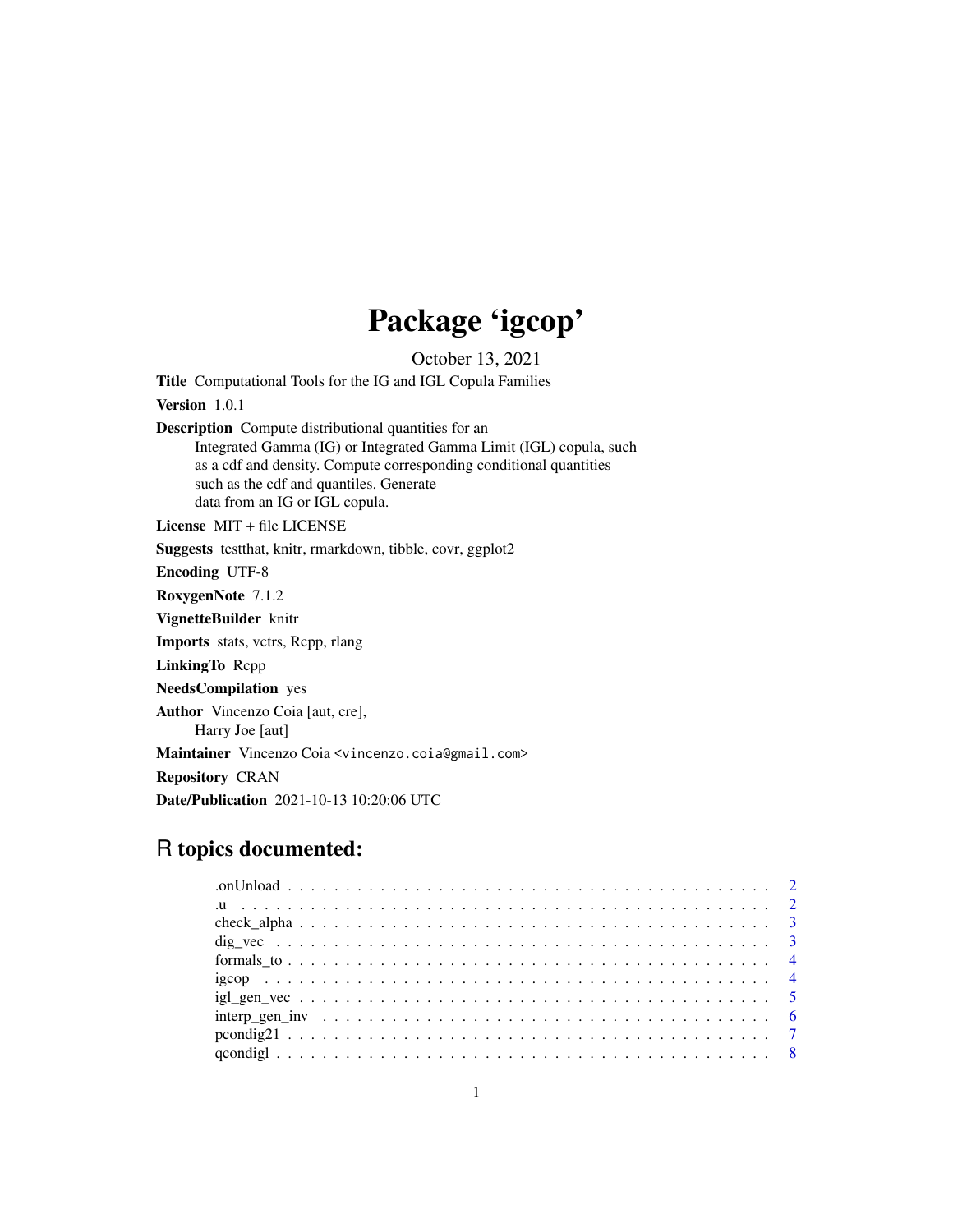# Package 'igcop'

October 13, 2021

Title Computational Tools for the IG and IGL Copula Families Version 1.0.1 Description Compute distributional quantities for an Integrated Gamma (IG) or Integrated Gamma Limit (IGL) copula, such

as a cdf and density. Compute corresponding conditional quantities such as the cdf and quantiles. Generate data from an IG or IGL copula.

License MIT + file LICENSE

Suggests testthat, knitr, rmarkdown, tibble, covr, ggplot2

Encoding UTF-8

RoxygenNote 7.1.2

VignetteBuilder knitr

Imports stats, vctrs, Rcpp, rlang

LinkingTo Rcpp

NeedsCompilation yes

Author Vincenzo Coia [aut, cre],

Harry Joe [aut]

Maintainer Vincenzo Coia <vincenzo.coia@gmail.com>

Repository CRAN

Date/Publication 2021-10-13 10:20:06 UTC

# R topics documented:

| $10$ . The contract of the contract of the contract of the contract of the contract of $2$ |  |
|--------------------------------------------------------------------------------------------|--|
|                                                                                            |  |
|                                                                                            |  |
|                                                                                            |  |
|                                                                                            |  |
|                                                                                            |  |
|                                                                                            |  |
|                                                                                            |  |
|                                                                                            |  |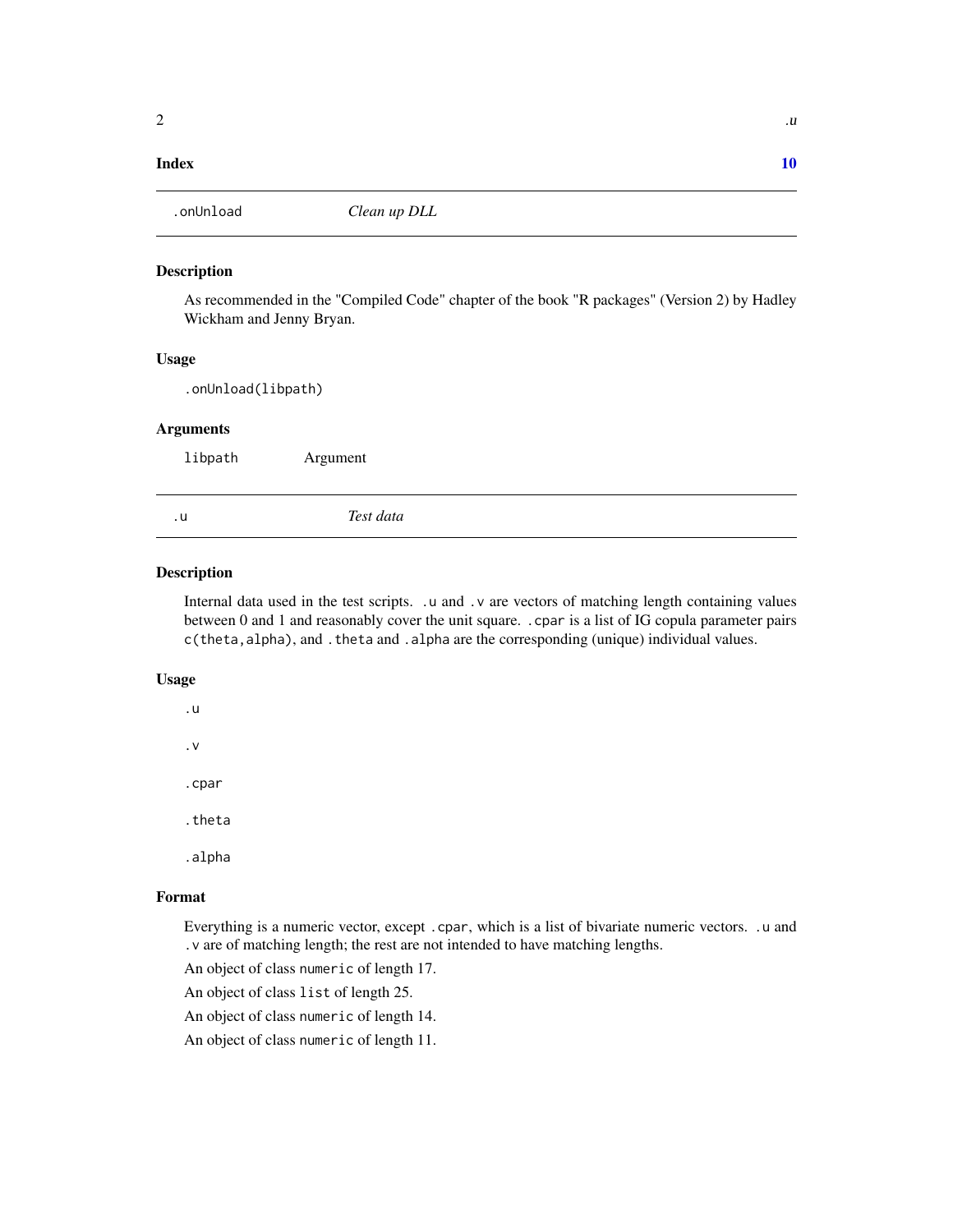#### <span id="page-1-0"></span> $\blacksquare$

.onUnload *Clean up DLL*

#### Description

As recommended in the "Compiled Code" chapter of the book "R packages" (Version 2) by Hadley Wickham and Jenny Bryan.

# Usage

.onUnload(libpath)

#### Arguments

libpath Argument

.u *Test data*

# **Description**

Internal data used in the test scripts. .u and .v are vectors of matching length containing values between 0 and 1 and reasonably cover the unit square. .cpar is a list of IG copula parameter pairs c(theta,alpha), and .theta and .alpha are the corresponding (unique) individual values.

#### Usage

.u .v

.cpar

.theta

.alpha

# Format

Everything is a numeric vector, except .cpar, which is a list of bivariate numeric vectors. .u and .v are of matching length; the rest are not intended to have matching lengths.

An object of class numeric of length 17.

An object of class list of length 25.

An object of class numeric of length 14.

An object of class numeric of length 11.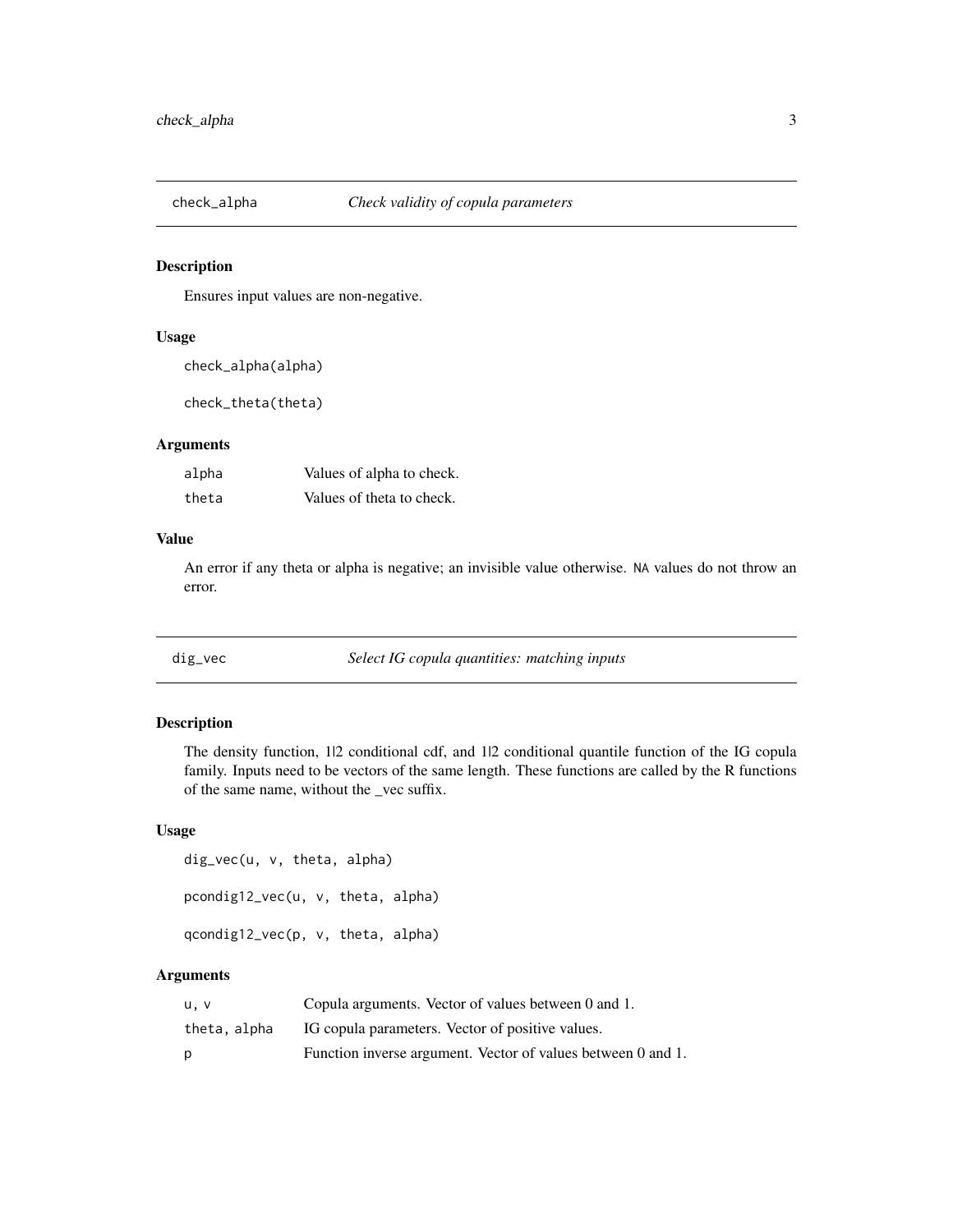<span id="page-2-0"></span>

# Description

Ensures input values are non-negative.

#### Usage

check\_alpha(alpha)

check\_theta(theta)

# Arguments

| alpha | Values of alpha to check. |
|-------|---------------------------|
| theta | Values of theta to check. |

#### Value

An error if any theta or alpha is negative; an invisible value otherwise. NA values do not throw an error.

dig\_vec *Select IG copula quantities: matching inputs*

# Description

The density function, 1/2 conditional cdf, and 1/2 conditional quantile function of the IG copula family. Inputs need to be vectors of the same length. These functions are called by the R functions of the same name, without the \_vec suffix.

### Usage

```
dig_vec(u, v, theta, alpha)
pcondig12_vec(u, v, theta, alpha)
qcondig12_vec(p, v, theta, alpha)
```
# Arguments

| u.v          | Copula arguments. Vector of values between 0 and 1.          |
|--------------|--------------------------------------------------------------|
| theta, alpha | IG copula parameters. Vector of positive values.             |
| D            | Function inverse argument. Vector of values between 0 and 1. |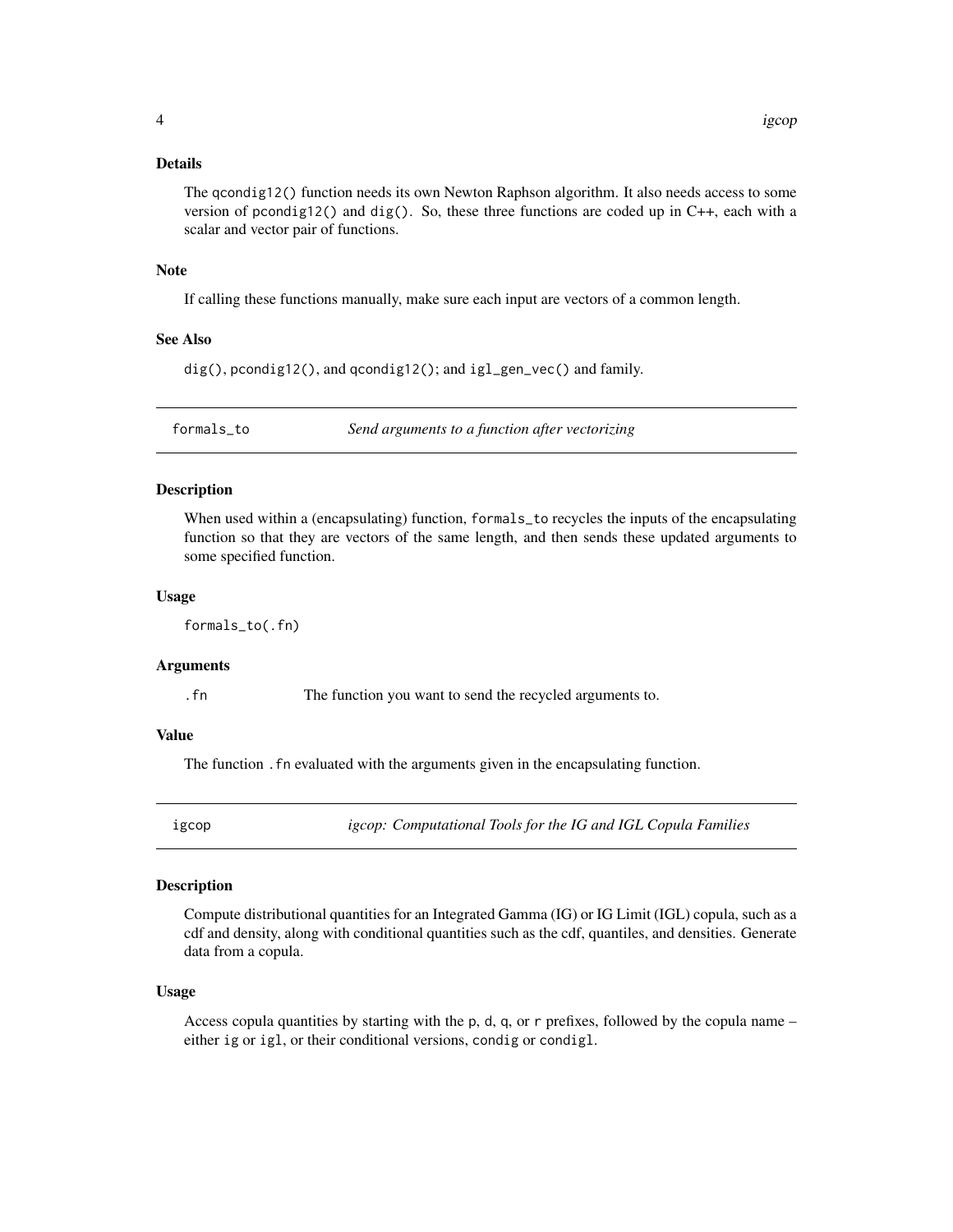#### <span id="page-3-0"></span>Details

The qcondig12() function needs its own Newton Raphson algorithm. It also needs access to some version of pcondig12() and dig(). So, these three functions are coded up in  $C_{++}$ , each with a scalar and vector pair of functions.

#### **Note**

If calling these functions manually, make sure each input are vectors of a common length.

#### See Also

dig(), pcondig12(), and qcondig12(); and igl\_gen\_vec() and family.

formals\_to *Send arguments to a function after vectorizing*

#### **Description**

When used within a (encapsulating) function, formals\_to recycles the inputs of the encapsulating function so that they are vectors of the same length, and then sends these updated arguments to some specified function.

#### Usage

formals\_to(.fn)

#### Arguments

.fn The function you want to send the recycled arguments to.

### Value

The function .fn evaluated with the arguments given in the encapsulating function.

igcop *igcop: Computational Tools for the IG and IGL Copula Families*

#### **Description**

Compute distributional quantities for an Integrated Gamma (IG) or IG Limit (IGL) copula, such as a cdf and density, along with conditional quantities such as the cdf, quantiles, and densities. Generate data from a copula.

#### Usage

Access copula quantities by starting with the p, d, q, or r prefixes, followed by the copula name – either ig or igl, or their conditional versions, condig or condigl.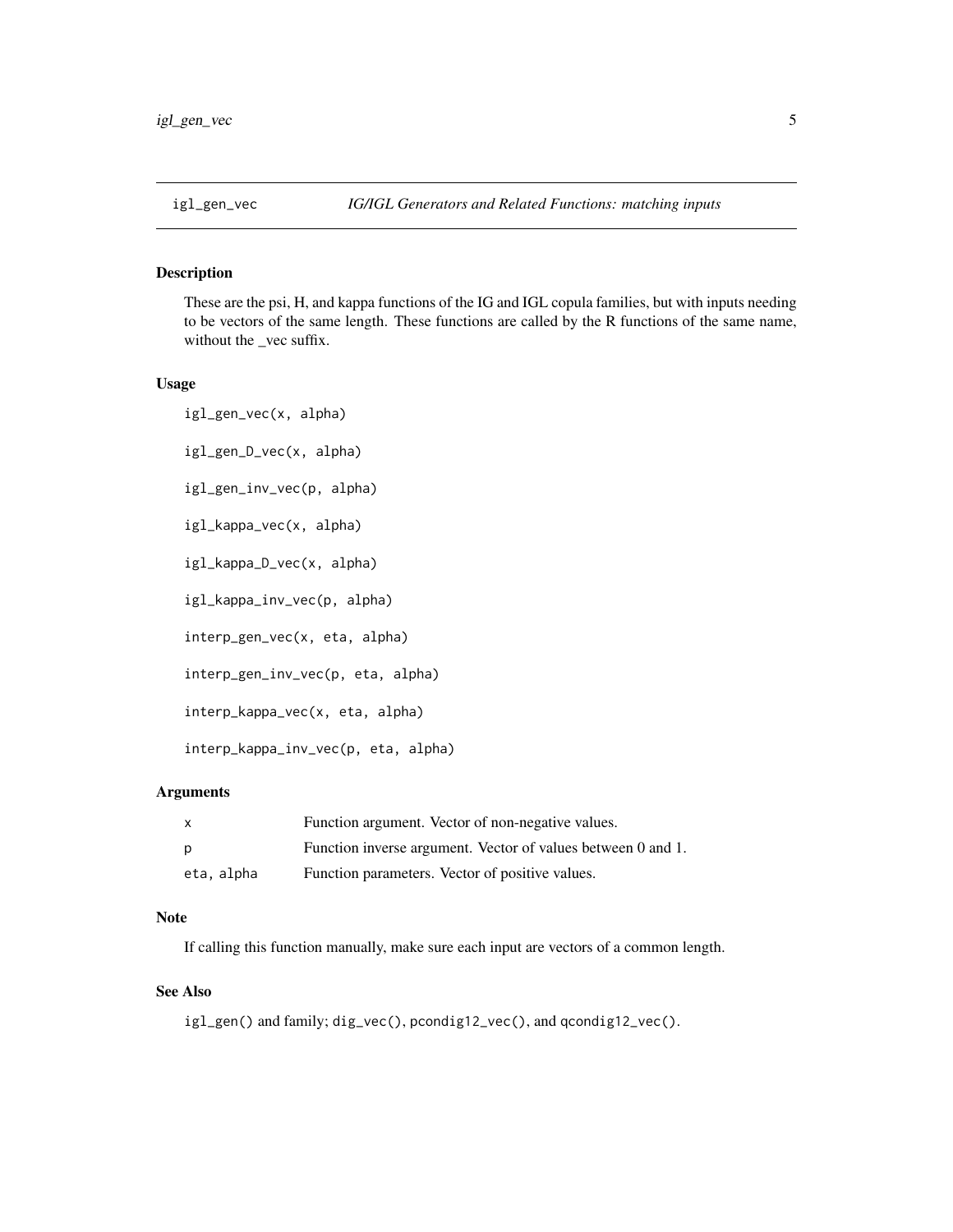<span id="page-4-0"></span>

# Description

These are the psi, H, and kappa functions of the IG and IGL copula families, but with inputs needing to be vectors of the same length. These functions are called by the R functions of the same name, without the \_vec suffix.

#### Usage

igl\_gen\_vec(x, alpha) igl\_gen\_D\_vec(x, alpha)

igl\_gen\_inv\_vec(p, alpha)

igl\_kappa\_vec(x, alpha)

igl\_kappa\_D\_vec(x, alpha)

igl\_kappa\_inv\_vec(p, alpha)

interp\_gen\_vec(x, eta, alpha)

interp\_gen\_inv\_vec(p, eta, alpha)

interp\_kappa\_vec(x, eta, alpha)

interp\_kappa\_inv\_vec(p, eta, alpha)

#### Arguments

| X          | Function argument. Vector of non-negative values.            |
|------------|--------------------------------------------------------------|
| p          | Function inverse argument. Vector of values between 0 and 1. |
| eta, alpha | Function parameters. Vector of positive values.              |

#### Note

If calling this function manually, make sure each input are vectors of a common length.

#### See Also

igl\_gen() and family; dig\_vec(), pcondig12\_vec(), and qcondig12\_vec().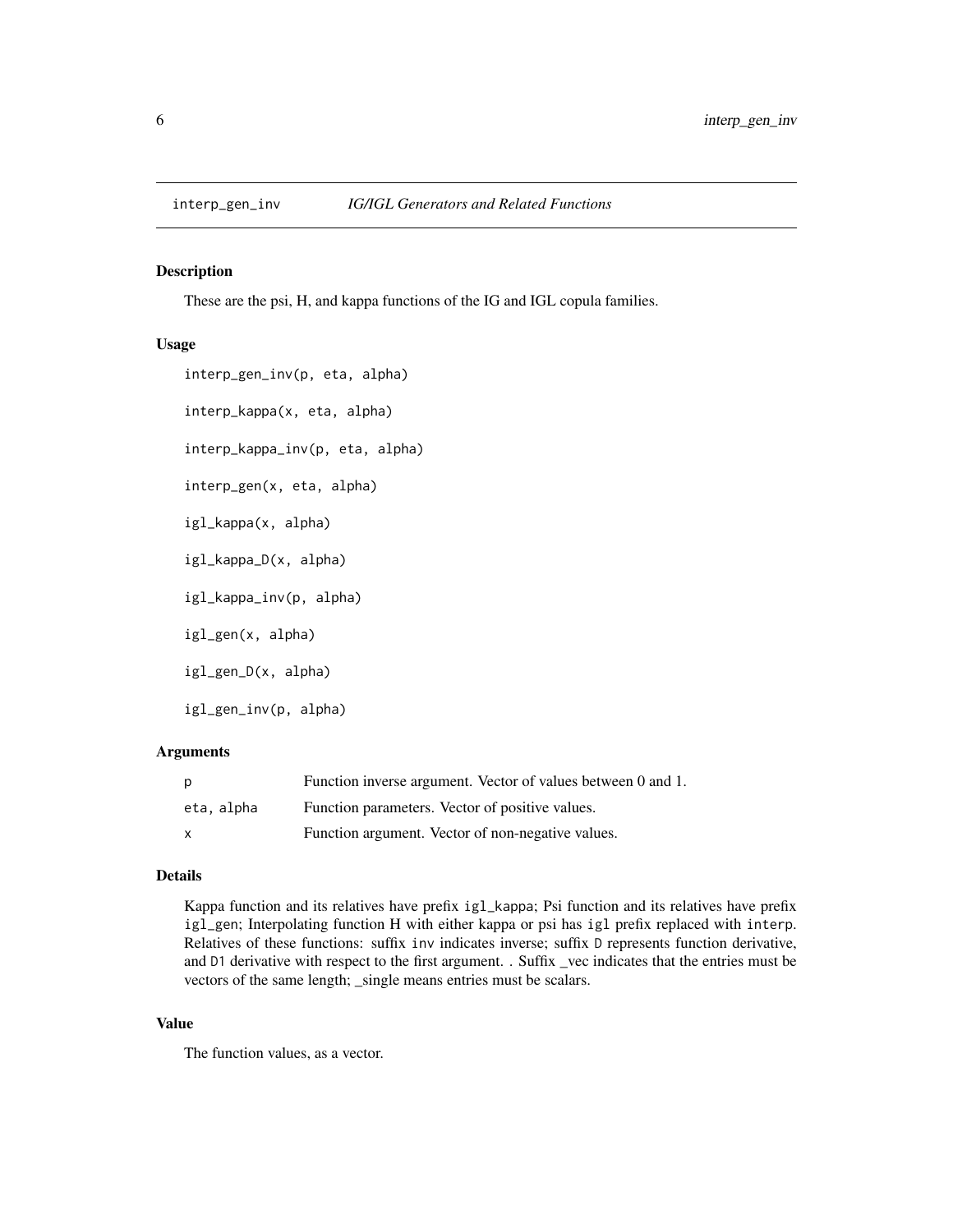<span id="page-5-0"></span>

#### Description

These are the psi, H, and kappa functions of the IG and IGL copula families.

#### Usage

```
interp_gen_inv(p, eta, alpha)
interp_kappa(x, eta, alpha)
interp_kappa_inv(p, eta, alpha)
interp_gen(x, eta, alpha)
igl_kappa(x, alpha)
igl_kappa_D(x, alpha)
igl_kappa_inv(p, alpha)
igl_gen(x, alpha)
igl_gen_D(x, alpha)
igl_gen_inv(p, alpha)
```
#### Arguments

| p            | Function inverse argument. Vector of values between 0 and 1. |
|--------------|--------------------------------------------------------------|
| eta, alpha   | Function parameters. Vector of positive values.              |
| $\mathbf{x}$ | Function argument. Vector of non-negative values.            |

#### Details

Kappa function and its relatives have prefix igl\_kappa; Psi function and its relatives have prefix igl\_gen; Interpolating function H with either kappa or psi has igl prefix replaced with interp. Relatives of these functions: suffix inv indicates inverse; suffix D represents function derivative, and D1 derivative with respect to the first argument. . Suffix \_vec indicates that the entries must be vectors of the same length; \_single means entries must be scalars.

### Value

The function values, as a vector.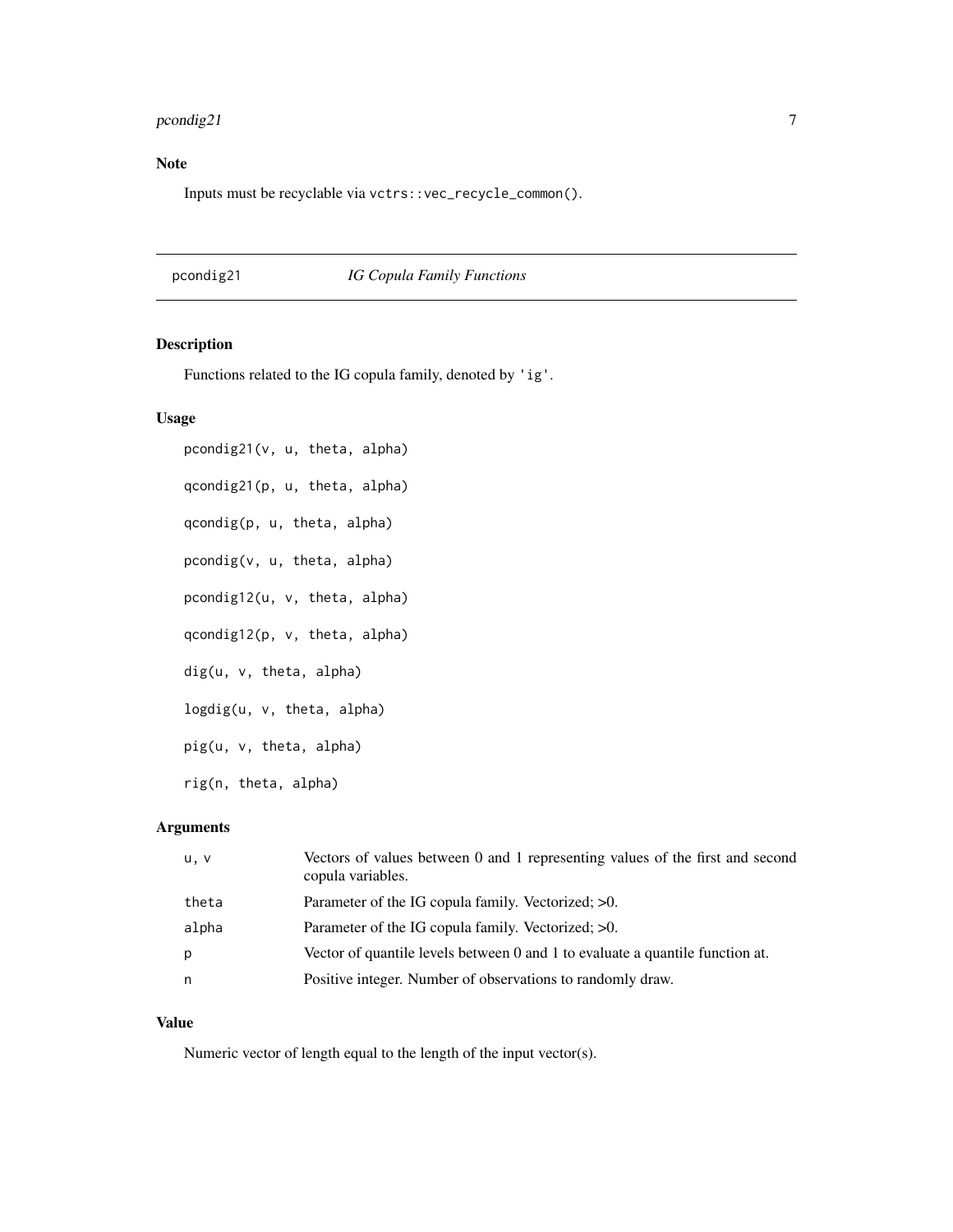# <span id="page-6-0"></span>pcondig21 7

# Note

Inputs must be recyclable via vctrs::vec\_recycle\_common().

# pcondig21 *IG Copula Family Functions*

#### Description

Functions related to the IG copula family, denoted by 'ig'.

#### Usage

pcondig21(v, u, theta, alpha) qcondig21(p, u, theta, alpha) qcondig(p, u, theta, alpha) pcondig(v, u, theta, alpha) pcondig12(u, v, theta, alpha) qcondig12(p, v, theta, alpha) dig(u, v, theta, alpha) logdig(u, v, theta, alpha) pig(u, v, theta, alpha) rig(n, theta, alpha)

# Arguments

| u, v  | Vectors of values between 0 and 1 representing values of the first and second<br>copula variables. |
|-------|----------------------------------------------------------------------------------------------------|
| theta | Parameter of the IG copula family. Vectorized: >0.                                                 |
| alpha | Parameter of the IG copula family. Vectorized: $>0$ .                                              |
| р     | Vector of quantile levels between 0 and 1 to evaluate a quantile function at.                      |
| n     | Positive integer. Number of observations to randomly draw.                                         |

#### Value

Numeric vector of length equal to the length of the input vector(s).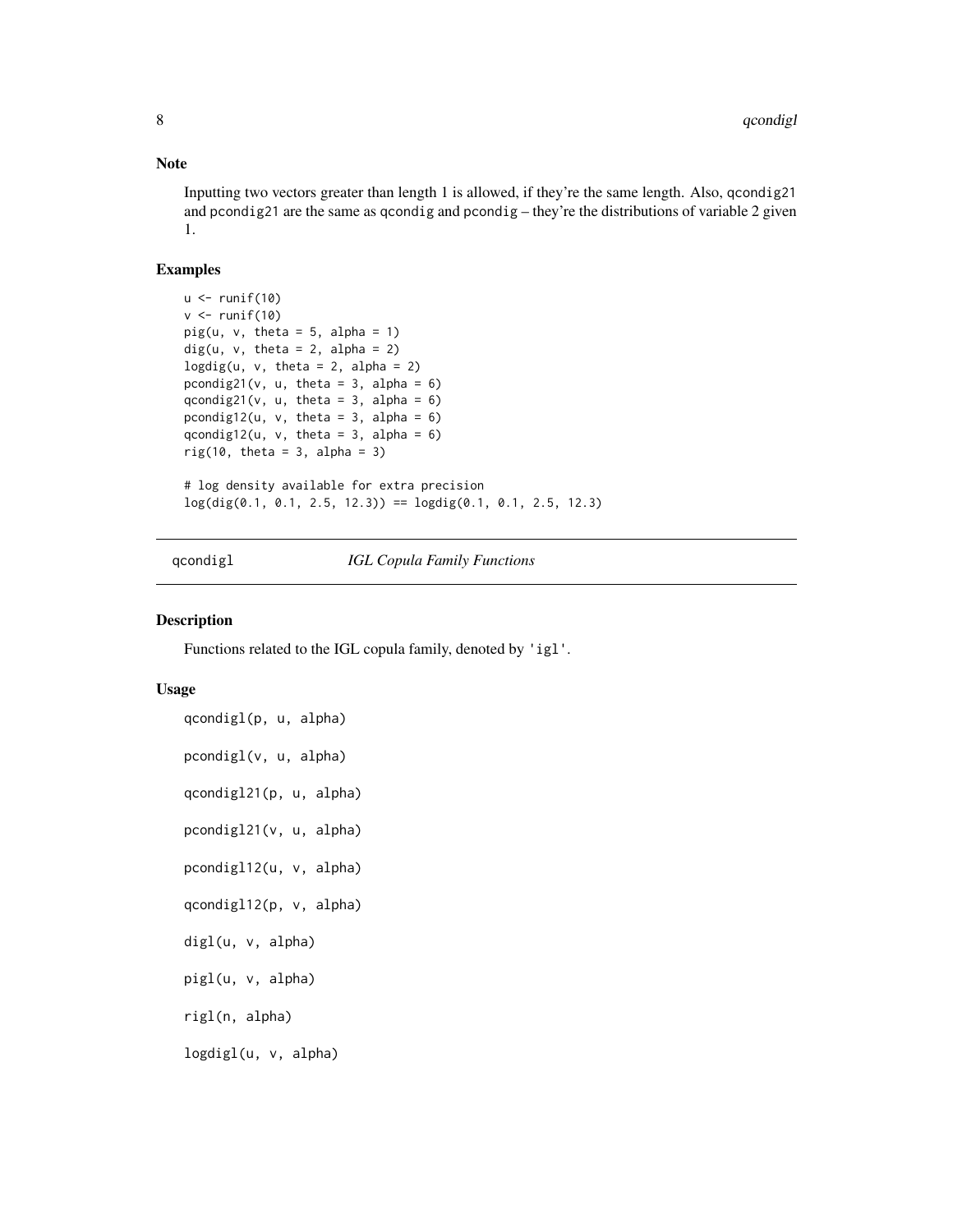#### <span id="page-7-0"></span>Note

Inputting two vectors greater than length 1 is allowed, if they're the same length. Also, qcondig21 and pcondig21 are the same as qcondig and pcondig – they're the distributions of variable 2 given 1.

#### Examples

```
u < - runif(10)
v \leftarrow runif(10)pig(u, v, theta = 5, alpha = 1)dig(u, v, theta = 2, alpha = 2)logdig(u, v, theta = 2, alpha = 2)pcondig21(v, u, theta = 3, alpha = 6)
qcondig21(v, u, theta = 3, alpha = 6)
pcondig12(u, v, theta = 3, alpha = 6)
qcondig12(u, v, theta = 3, alpha = 6)
rig(10, theta = 3, alpha = 3)# log density available for extra precision
log(dig(0.1, 0.1, 2.5, 12.3)) = logdig(0.1, 0.1, 2.5, 12.3)
```
qcondigl *IGL Copula Family Functions*

#### Description

Functions related to the IGL copula family, denoted by 'igl'.

#### Usage

```
qcondigl(p, u, alpha)
pcondigl(v, u, alpha)
qcondigl21(p, u, alpha)
pcondigl21(v, u, alpha)
pcondigl12(u, v, alpha)
qcondigl12(p, v, alpha)
digl(u, v, alpha)
pigl(u, v, alpha)
rigl(n, alpha)
logdigl(u, v, alpha)
```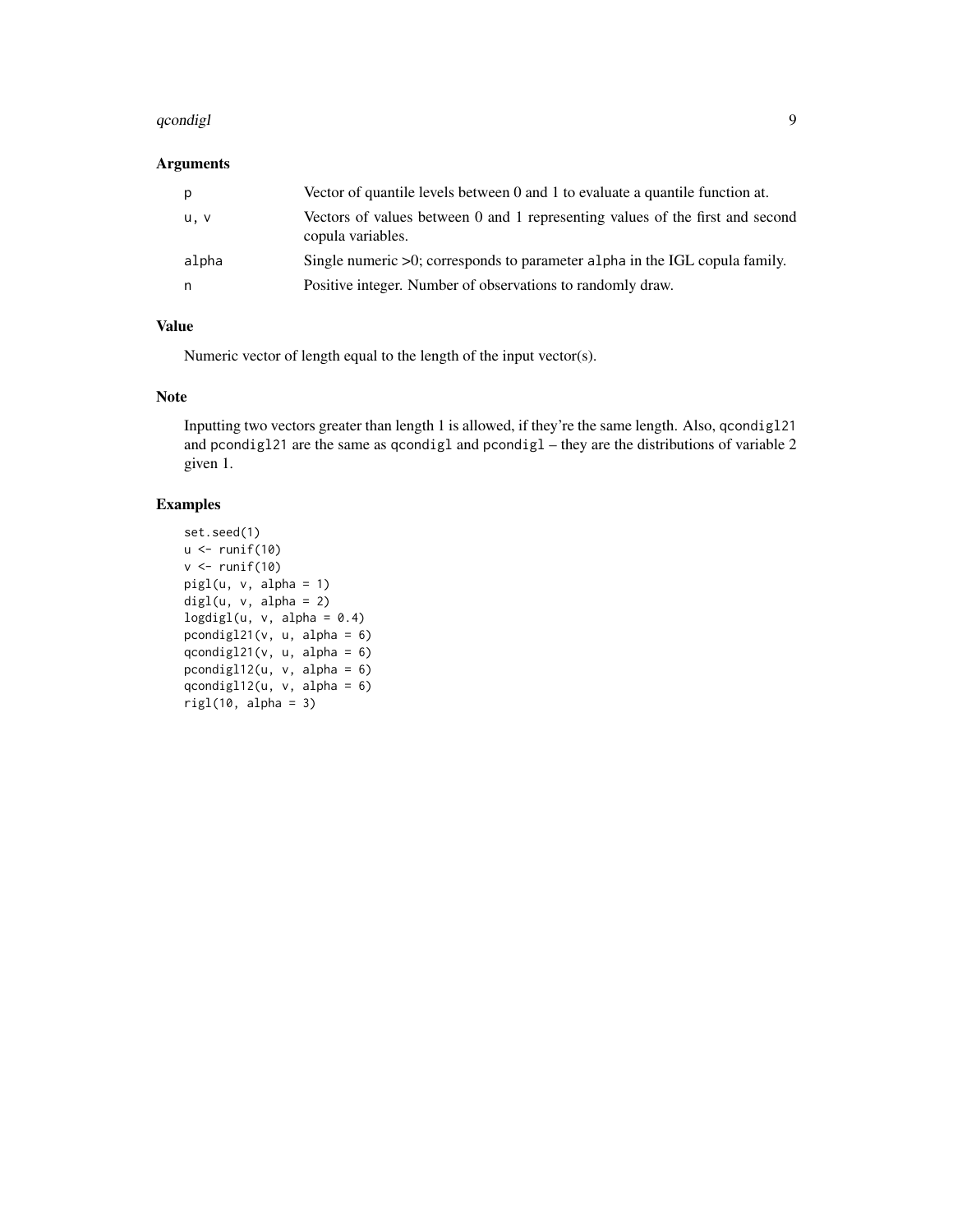#### qcondigl 9

### Arguments

| p     | Vector of quantile levels between 0 and 1 to evaluate a quantile function at.                      |
|-------|----------------------------------------------------------------------------------------------------|
| u, v  | Vectors of values between 0 and 1 representing values of the first and second<br>copula variables. |
| alpha | Single numeric $>0$ ; corresponds to parameter alpha in the IGL copula family.                     |
| n     | Positive integer. Number of observations to randomly draw.                                         |

# Value

Numeric vector of length equal to the length of the input vector(s).

#### Note

Inputting two vectors greater than length 1 is allowed, if they're the same length. Also, qcondigl21 and pcondigl21 are the same as qcondigl and pcondigl – they are the distributions of variable 2 given 1.

# Examples

```
set.seed(1)
u \leftarrow runif(10)v \leftarrow runif(10)pigl(u, v, alpha = 1)
digl(u, v, alpha = 2)
logdigl(u, v, alpha = 0.4)pcondigl21(v, u, alpha = 6)
qcondigl21(v, u, alpha = 6)
pcondigl12(u, v, alpha = 6)qcondigl12(u, v, alpha = 6)
right(10, alpha = 3)
```